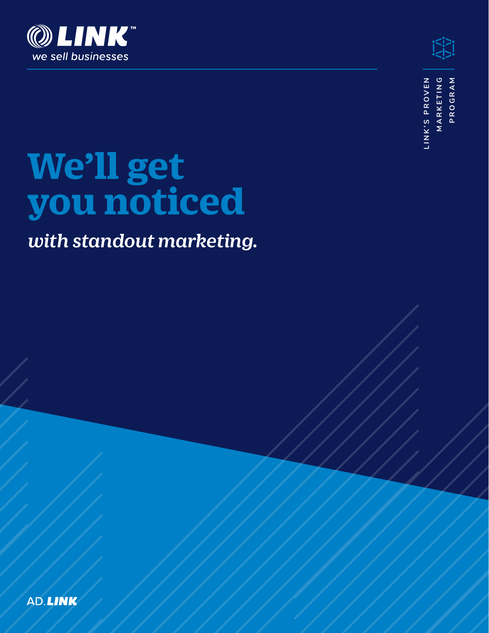



**L I N K ' S P R O V E N M A R K E T I N G**  MARKETING LINK'S PROVEN PROGRAM **PROGRAM**

# **We'll get you noticed**

# *with standout marketing.*

AD.LIN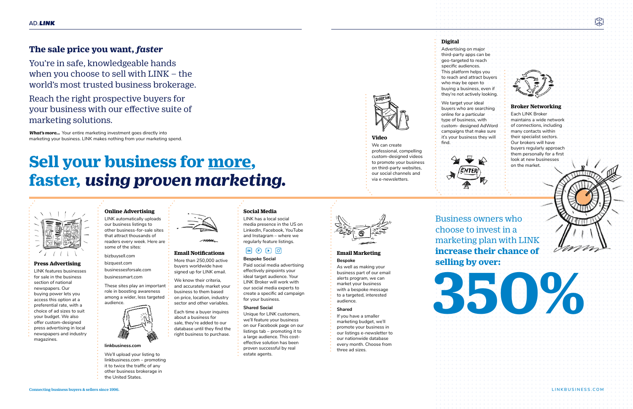

## **Bespoke**

As well as making your business part of our email alerts program, we can market your business with a bespoke message to a targeted, interested audience.

#### **Shared**

If you have a smaller marketing budget, we'll promote your business in our listings e-newsletter to our nationwide database every month. Choose from three ad sizes.

#### **Social Media** LINK has a local social

media presence in the US on LinkedIn, Facebook, YouTube and Instagram – where we regularly feature listings.

### $\boxed{\mathsf{IN}} \quad \boxed{\mathsf{F}} \quad \boxed{\mathsf{P}} \quad \boxed{\mathsf{O}}$

#### **Bespoke Social**

Paid social media advertising effectively pinpoints your ideal target audience. Your LINK Broker will work with our social media experts to create a specific ad campaign for your business.

#### **Shared Social**

Unique for LINK customers, we'll feature your business on our Facebook page on our listings tab – promoting it to a large audience. This costeffective solution has been proven successful by real estate agents.

## **Email Notifications**

More than 250,000 active buyers worldwide have

signed up for LINK email. We know their criteria,

and accurately market your business to them based on price, location, industry sector and other variables.

Each time a buyer inquires about a business for sale, they're added to our database until they find the right business to purchase.

#### **Press Advertising**

LINK features businesses for sale in the business section of national newspapers. Our buying power lets you access this option at a preferential rate, with a choice of ad sizes to suit your budget. We also offer custom-designed press advertising in local newspapers and industry magazines.

# Sell your business for more,<br> **Sell your business faster,** *using proven marketing.*



#### **Online Advertising** LINK automatically uploads

our business listings to other business-for-sale sites that attract thousands of readers every week. Here are some of the sites:

bizbuysell.com

bizquest.com businessesforsale.com

businessmart.com

These sites play an important role in boosting awareness among a wider, less targeted audience.



#### **linkbusiness.com**

We'll upload your listing to linkbusiness.com – promoting it to twice the traffic of any other business brokerage in the United States.



**Digital**

Advertising on major third-party apps can be geo-targeted to reach specific audiences. This platform helps you to reach and attract buyers who may be open to buying a business, even if they're not actively looking.

We target your ideal buyers who are searching online for a particular type of business, with custom- designed AdWord campaigns that make sure it's your business they will



find.

#### **Video**

We can create professional, compelling custom-designed videos to promote your business on third-party websites, our social channels and via e-newsletters.



#### **Broker Networking**

Each LINK Broker maintains a wide network of connections, including many contacts within their specialist sectors. Our brokers will have buyers regularly approach them personally for a first



## **The sale price you want,** *faster*

You're in safe, knowledgeable hands when you choose to sell with LINK – the world's most trusted business brokerage.

Reach the right prospective buyers for your business with our effective suite of marketing solutions.

*What's more...* Your entire marketing investment goes directly into marketing your business. LINK makes nothing from your marketing spend.

> Business owners who choose to invest in a marketing plan with LINK **increase their chance of**

# **selling by over:**

 $\sum_{i \leq j > 1}$